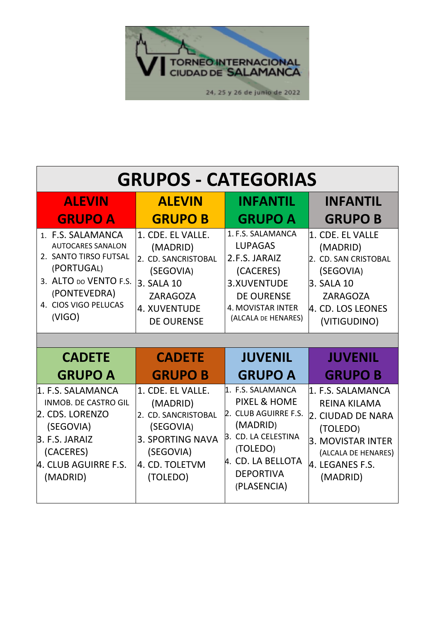

| <b>GRUPOS - CATEGORIAS</b>                                                                                                                          |                                                                                                                                         |                                                                                                                                                                  |                                                                                                                                                      |  |  |
|-----------------------------------------------------------------------------------------------------------------------------------------------------|-----------------------------------------------------------------------------------------------------------------------------------------|------------------------------------------------------------------------------------------------------------------------------------------------------------------|------------------------------------------------------------------------------------------------------------------------------------------------------|--|--|
| <b>ALEVIN</b>                                                                                                                                       | <b>ALEVIN</b>                                                                                                                           | <b>INFANTIL</b>                                                                                                                                                  | <b>INFANTIL</b>                                                                                                                                      |  |  |
| <b>GRUPO A</b>                                                                                                                                      | <b>GRUPO B</b>                                                                                                                          | <b>GRUPO A</b>                                                                                                                                                   | <b>GRUPO B</b>                                                                                                                                       |  |  |
| 1. F.S. SALAMANCA                                                                                                                                   | 1. CDE. EL VALLE.                                                                                                                       | 1. F.S. SALAMANCA                                                                                                                                                | 1. CDE. EL VALLE                                                                                                                                     |  |  |
| <b>AUTOCARES SANALON</b>                                                                                                                            | (MADRID)                                                                                                                                | <b>LUPAGAS</b>                                                                                                                                                   | (MADRID)                                                                                                                                             |  |  |
| 2. SANTO TIRSO FUTSAL                                                                                                                               | 2. CD. SANCRISTOBAL                                                                                                                     | 2.F.S. JARAIZ                                                                                                                                                    | 2. CD. SAN CRISTOBAL                                                                                                                                 |  |  |
| (PORTUGAL)                                                                                                                                          | (SEGOVIA)                                                                                                                               | (CACERES)                                                                                                                                                        | (SEGOVIA)                                                                                                                                            |  |  |
| 3. ALTO DO VENTO F.S.                                                                                                                               | 3. SALA 10                                                                                                                              | 3.XUVENTUDE                                                                                                                                                      | 3. SALA 10                                                                                                                                           |  |  |
| (PONTEVEDRA)                                                                                                                                        | <b>ZARAGOZA</b>                                                                                                                         | <b>DE OURENSE</b>                                                                                                                                                | <b>ZARAGOZA</b>                                                                                                                                      |  |  |
| 4. CIOS VIGO PELUCAS                                                                                                                                | 4. XUVENTUDE                                                                                                                            | <b>4. MOVISTAR INTER</b>                                                                                                                                         | 4. CD. LOS LEONES                                                                                                                                    |  |  |
| (VIGO)                                                                                                                                              | <b>DE OURENSE</b>                                                                                                                       | (ALCALA DE HENARES)                                                                                                                                              | (VITIGUDINO)                                                                                                                                         |  |  |
| <b>CADETE</b>                                                                                                                                       | <b>CADETE</b>                                                                                                                           | <b>JUVENIL</b>                                                                                                                                                   | <b>JUVENIL</b>                                                                                                                                       |  |  |
| <b>GRUPO A</b>                                                                                                                                      | <b>GRUPO B</b>                                                                                                                          | <b>GRUPO A</b>                                                                                                                                                   | <b>GRUPO B</b>                                                                                                                                       |  |  |
| 1. F.S. SALAMANCA<br><b>INMOB. DE CASTRO GIL</b><br>2. CDS. LORENZO<br>(SEGOVIA)<br>3. F.S. JARAIZ<br>(CACERES)<br>4. CLUB AGUIRRE F.S.<br>(MADRID) | 1. CDE. EL VALLE.<br>(MADRID)<br>2. CD. SANCRISTOBAL<br>(SEGOVIA)<br><b>3. SPORTING NAVA</b><br>(SEGOVIA)<br>4. CD. TOLETVM<br>(TOLEDO) | 1. F.S. SALAMANCA<br>PIXEL & HOME<br>2. CLUB AGUIRRE F.S.<br>(MADRID)<br>3. CD. LA CELESTINA<br>(TOLEDO)<br>4. CD. LA BELLOTA<br><b>DEPORTIVA</b><br>(PLASENCIA) | 1. F.S. SALAMANCA<br><b>REINA KILAMA</b><br>2. CIUDAD DE NARA<br>(TOLEDO)<br>3. MOVISTAR INTER<br>(ALCALA DE HENARES)<br>4. LEGANES F.S.<br>(MADRID) |  |  |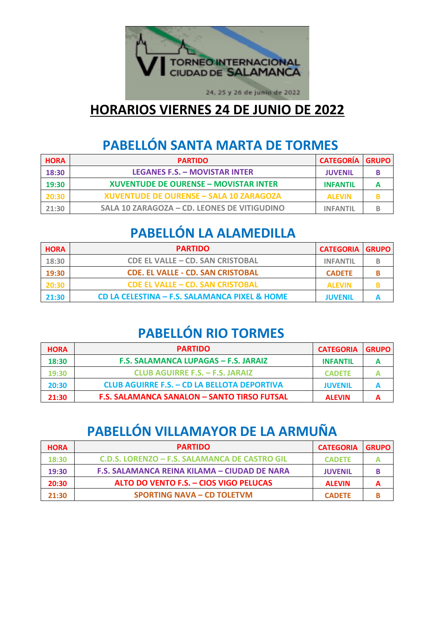

#### **HORARIOS VIERNES 24 DE JUNIO DE 2022**

#### **PABELLÓN SANTA MARTA DE TORMES**

| <b>HORA</b> | <b>PARTIDO</b>                                 | <b>CATEGORÍA GRUPO</b> |  |
|-------------|------------------------------------------------|------------------------|--|
| 18:30       | <b>LEGANES F.S. - MOVISTAR INTER</b>           | <b>JUVENIL</b>         |  |
| 19:30       | <b>XUVENTUDE DE OURENSE – MOVISTAR INTER</b>   | <b>INFANTIL</b>        |  |
| 20:30       | <b>XUVENTUDE DE OURENSE - SALA 10 ZARAGOZA</b> | <b>ALEVIN</b>          |  |
| 21:30       | SALA 10 ZARAGOZA - CD. LEONES DE VITIGUDINO    | <b>INFANTIL</b>        |  |

#### **PABELLÓN LA ALAMEDILLA**

| <b>HORA</b> | <b>PARTIDO</b>                                | <b>CATEGORIA</b> | <b>GRUPO</b> |
|-------------|-----------------------------------------------|------------------|--------------|
| 18:30       | <b>CDE EL VALLE - CD. SAN CRISTOBAL</b>       | <b>INFANTIL</b>  | В            |
| 19:30       | <b>CDE. EL VALLE - CD. SAN CRISTOBAL</b>      | <b>CADETE</b>    |              |
| 20:30       | <b>CDE EL VALLE – CD. SAN CRISTOBAL</b>       | <b>ALEVIN</b>    |              |
| 21:30       | CD LA CELESTINA – F.S. SALAMANCA PIXEL & HOME | <b>JUVENIL</b>   |              |

# **PABELLÓN RIO TORMES**

| <b>HORA</b> | <b>PARTIDO</b>                                     | <b>CATEGORIA</b> | <b>GRUPO</b> |
|-------------|----------------------------------------------------|------------------|--------------|
| 18:30       | F.S. SALAMANCA LUPAGAS – F.S. JARAIZ               | <b>INFANTIL</b>  |              |
| 19:30       | <b>CLUB AGUIRRE F.S. - F.S. JARAIZ</b>             | <b>CADETE</b>    |              |
| 20:30       | <b>CLUB AGUIRRE F.S. - CD LA BELLOTA DEPORTIVA</b> | <b>JUVENIL</b>   |              |
| 21:30       | <b>F.S. SALAMANCA SANALON - SANTO TIRSO FUTSAL</b> | <b>ALEVIN</b>    |              |

# **PABELLÓN VILLAMAYOR DE LA ARMUÑA**

| <b>HORA</b> | <b>PARTIDO</b>                                       | <b>CATEGORIA</b> | <b>GRUPO</b> |
|-------------|------------------------------------------------------|------------------|--------------|
| 18:30       | <b>C.D.S. LORENZO - F.S. SALAMANCA DE CASTRO GIL</b> | <b>CADETE</b>    |              |
| 19:30       | F.S. SALAMANCA REINA KILAMA - CIUDAD DE NARA         | <b>JUVENIL</b>   |              |
| 20:30       | ALTO DO VENTO F.S. - CIOS VIGO PELUCAS               | <b>ALEVIN</b>    |              |
| 21:30       | <b>SPORTING NAVA - CD TOLETVM</b>                    | <b>CADETE</b>    |              |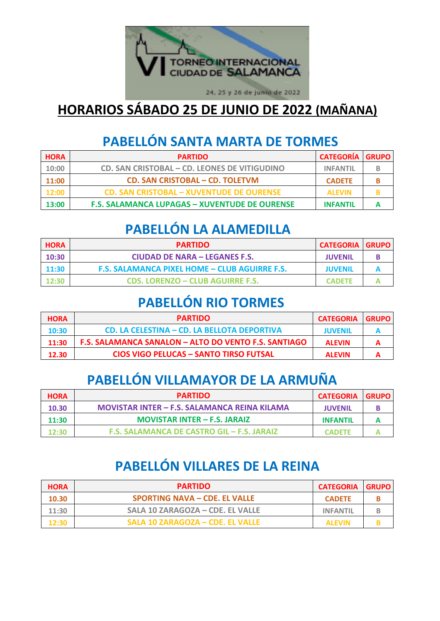

# **HORARIOS SÁBADO 25 DE JUNIO DE 2022 (MAÑANA)**

# **PABELLÓN SANTA MARTA DE TORMES**

| <b>HORA</b> | <b>PARTIDO</b>                                      | <b>CATEGORÍA GRUPO</b> |  |
|-------------|-----------------------------------------------------|------------------------|--|
| 10:00       | <b>CD. SAN CRISTOBAL - CD. LEONES DE VITIGUDINO</b> | <b>INFANTIL</b>        |  |
| 11:00       | <b>CD. SAN CRISTOBAL – CD. TOLETVM</b>              | <b>CADETE</b>          |  |
| 12:00       | <b>CD. SAN CRISTOBAL - XUVENTUDE DE OURENSE</b>     | <b>ALEVIN</b>          |  |
| 13:00       | F.S. SALAMANCA LUPAGAS - XUVENTUDE DE OURENSE       | <b>INFANTIL</b>        |  |

#### **PABELLÓN LA ALAMEDILLA**

| <b>HORA</b> | <b>PARTIDO</b>                                | <b>CATEGORIA GRUPO</b> |  |
|-------------|-----------------------------------------------|------------------------|--|
| 10:30       | <b>CIUDAD DE NARA - LEGANES F.S.</b>          | <b>JUVENIL</b>         |  |
| 11:30       | F.S. SALAMANCA PIXEL HOME - CLUB AGUIRRE F.S. | <b>JUVENIL</b>         |  |
| 12:30       | <b>CDS. LORENZO - CLUB AGUIRRE F.S.</b>       | <b>CADETE</b>          |  |

#### **PABELLÓN RIO TORMES**

| <b>HORA</b> | <b>PARTIDO</b>                                       | <b>CATEGORIA</b> | <b>GRUPO</b> |
|-------------|------------------------------------------------------|------------------|--------------|
| 10:30       | CD. LA CELESTINA – CD. LA BELLOTA DEPORTIVA          | <b>JUVENIL</b>   |              |
| 11:30       | F.S. SALAMANCA SANALON - ALTO DO VENTO F.S. SANTIAGO | <b>ALEVIN</b>    |              |
| 12.30       | <b>CIOS VIGO PELUCAS – SANTO TIRSO FUTSAL</b>        | <b>ALFVIN</b>    |              |

# **PABELLÓN VILLAMAYOR DE LA ARMUÑA**

| <b>HORA</b> | <b>PARTIDO</b>                               | <b>CATEGORIA</b> | <b>GRUPO</b> |
|-------------|----------------------------------------------|------------------|--------------|
| 10.30       | MOVISTAR INTER – F.S. SALAMANCA REINA KILAMA | <b>JUVENIL</b>   |              |
| 11:30       | <b>MOVISTAR INTER – F.S. JARAIZ</b>          | <b>INFANTIL</b>  |              |
| 12:30       | F.S. SALAMANCA DE CASTRO GIL – F.S. JARAIZ   | <b>CADETE</b>    |              |

#### **PABELLÓN VILLARES DE LA REINA**

| <b>HORA</b> | <b>PARTIDO</b>                       | <b>CATEGORIA GRUPO</b> |  |
|-------------|--------------------------------------|------------------------|--|
| 10.30       | <b>SPORTING NAVA – CDE. EL VALLE</b> | <b>CADETE</b>          |  |
| 11:30       | SALA 10 ZARAGOZA – CDE. EL VALLE     | <b>INFANTIL</b>        |  |
| 12:30       | SALA 10 ZARAGOZA – CDE. EL VALLE     | <b>ALFVIN</b>          |  |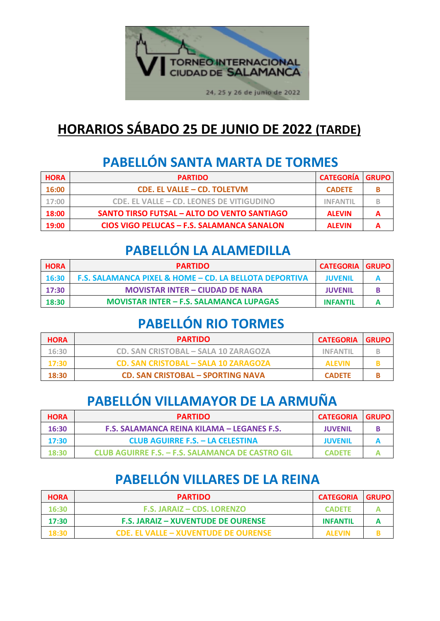

# **HORARIOS SÁBADO 25 DE JUNIO DE 2022 (TARDE)**

# **PABELLÓN SANTA MARTA DE TORMES**

| <b>HORA</b> | <b>PARTIDO</b>                              | <b>CATEGORÍA GRUPO</b> |   |
|-------------|---------------------------------------------|------------------------|---|
| 16:00       | <b>CDE. EL VALLE – CD. TOLETVM</b>          | <b>CADETE</b>          |   |
| 17:00       | CDE. EL VALLE – CD. LEONES DE VITIGUDINO    | <b>INFANTIL</b>        |   |
| 18:00       | SANTO TIRSO FUTSAL - ALTO DO VENTO SANTIAGO | <b>ALEVIN</b>          | А |
| 19:00       | CIOS VIGO PELUCAS – F.S. SALAMANCA SANALON  | <b>ALEVIN</b>          | А |

# **PABELLÓN LA ALAMEDILLA**

| <b>HORA</b> | <b>PARTIDO</b>                                         | <b>CATEGORIA GRUPO</b> |  |
|-------------|--------------------------------------------------------|------------------------|--|
| 16:30       | F.S. SALAMANCA PIXEL & HOME - CD. LA BELLOTA DEPORTIVA | <b>JUVENIL</b>         |  |
| 17:30       | <b>MOVISTAR INTER – CIUDAD DE NARA</b>                 | <b>JUVENIL</b>         |  |
| 18:30       | <b>MOVISTAR INTER - F.S. SALAMANCA LUPAGAS</b>         | <b>INFANTIL</b>        |  |

#### **PABELLÓN RIO TORMES**

| <b>HORA</b> | <b>PARTIDO</b>                              | <b>CATEGORIA</b> | <b>GRUPO</b> |
|-------------|---------------------------------------------|------------------|--------------|
| 16:30       | CD. SAN CRISTOBAL - SALA 10 ZARAGOZA        | <b>INFANTIL</b>  |              |
| 17:30       | <b>CD. SAN CRISTOBAL - SALA 10 ZARAGOZA</b> | <b>ALFVIN</b>    |              |
| 18:30       | <b>CD. SAN CRISTOBAL - SPORTING NAVA</b>    | <b>CADETE</b>    |              |

# **PABELLÓN VILLAMAYOR DE LA ARMUÑA**

| <b>HORA</b> | <b>PARTIDO</b>                                          | <b>CATEGORIA GRUPO</b> |  |
|-------------|---------------------------------------------------------|------------------------|--|
| 16:30       | F.S. SALAMANCA REINA KILAMA – LEGANES F.S.              | <b>JUVENIL</b>         |  |
| 17:30       | <b>CLUB AGUIRRE F.S. - LA CELESTINA</b>                 | <b>JUVENIL</b>         |  |
| 18:30       | <b>CLUB AGUIRRE F.S. - F.S. SALAMANCA DE CASTRO GIL</b> | <b>CADETE</b>          |  |

# **PABELLÓN VILLARES DE LA REINA**

| <b>HORA</b> | <b>PARTIDO</b>                            | <b>CATEGORIA GRUPO</b> |  |
|-------------|-------------------------------------------|------------------------|--|
| 16:30       | <b>F.S. JARAIZ – CDS. LORENZO</b>         | <b>CADETE</b>          |  |
| 17:30       | <b>F.S. JARAIZ – XUVENTUDE DE OURENSE</b> | <b>INFANTIL</b>        |  |
| 18:30       | CDF. FL VALLE – XUVENTUDE DE OURENSE      | <b>ALEVIN</b>          |  |